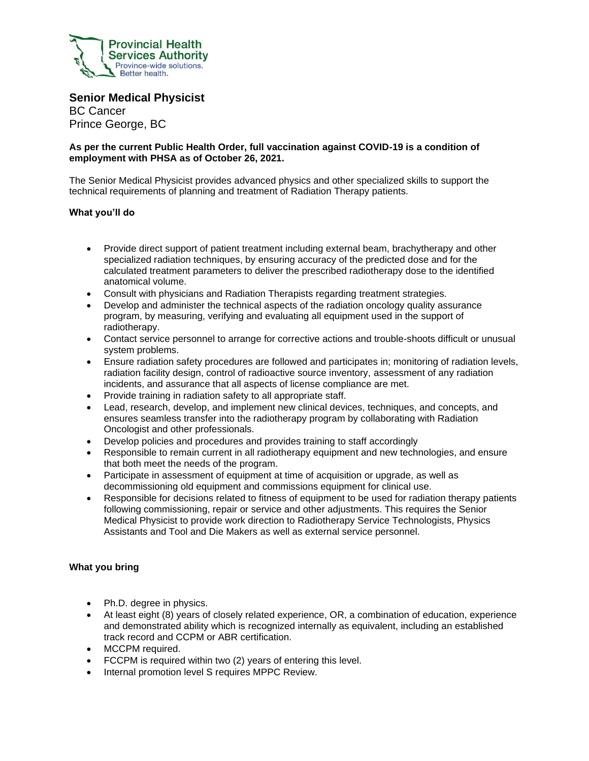

**Senior Medical Physicist** BC Cancer

Prince George, BC

## **As per the current Public Health Order, full vaccination against COVID-19 is a condition of employment with PHSA as of October 26, 2021.**

The Senior Medical Physicist provides advanced physics and other specialized skills to support the technical requirements of planning and treatment of Radiation Therapy patients.

# **What you'll do**

- Provide direct support of patient treatment including external beam, brachytherapy and other specialized radiation techniques, by ensuring accuracy of the predicted dose and for the calculated treatment parameters to deliver the prescribed radiotherapy dose to the identified anatomical volume.
- Consult with physicians and Radiation Therapists regarding treatment strategies.
- Develop and administer the technical aspects of the radiation oncology quality assurance program, by measuring, verifying and evaluating all equipment used in the support of radiotherapy.
- Contact service personnel to arrange for corrective actions and trouble-shoots difficult or unusual system problems.
- Ensure radiation safety procedures are followed and participates in; monitoring of radiation levels, radiation facility design, control of radioactive source inventory, assessment of any radiation incidents, and assurance that all aspects of license compliance are met.
- Provide training in radiation safety to all appropriate staff.
- Lead, research, develop, and implement new clinical devices, techniques, and concepts, and ensures seamless transfer into the radiotherapy program by collaborating with Radiation Oncologist and other professionals.
- Develop policies and procedures and provides training to staff accordingly
- Responsible to remain current in all radiotherapy equipment and new technologies, and ensure that both meet the needs of the program.
- Participate in assessment of equipment at time of acquisition or upgrade, as well as decommissioning old equipment and commissions equipment for clinical use.
- Responsible for decisions related to fitness of equipment to be used for radiation therapy patients following commissioning, repair or service and other adjustments. This requires the Senior Medical Physicist to provide work direction to Radiotherapy Service Technologists, Physics Assistants and Tool and Die Makers as well as external service personnel.

### **What you bring**

- Ph.D. degree in physics.
- At least eight (8) years of closely related experience, OR, a combination of education, experience and demonstrated ability which is recognized internally as equivalent, including an established track record and CCPM or ABR certification.
- MCCPM required.
- FCCPM is required within two (2) years of entering this level.
- Internal promotion level S requires MPPC Review.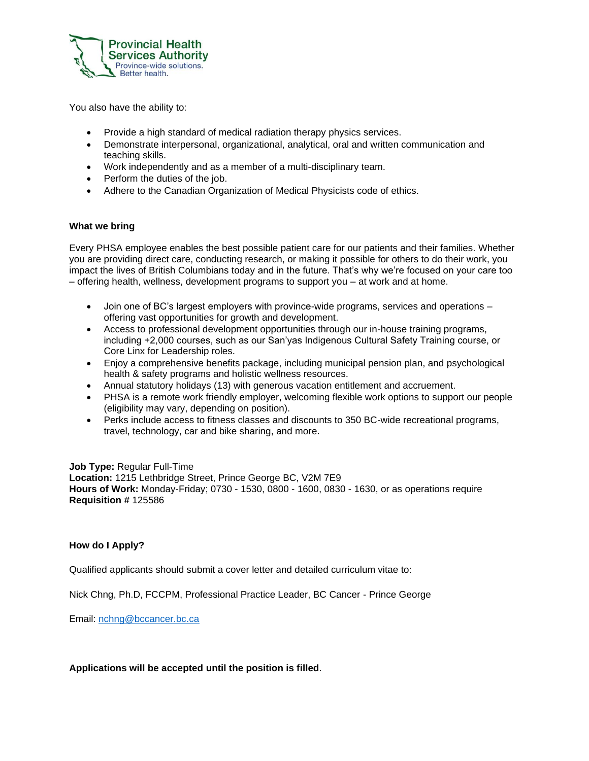

You also have the ability to:

- Provide a high standard of medical radiation therapy physics services.
- Demonstrate interpersonal, organizational, analytical, oral and written communication and teaching skills.
- Work independently and as a member of a multi-disciplinary team.
- Perform the duties of the job.
- Adhere to the Canadian Organization of Medical Physicists code of ethics.

### **What we bring**

Every PHSA employee enables the best possible patient care for our patients and their families. Whether you are providing direct care, conducting research, or making it possible for others to do their work, you impact the lives of British Columbians today and in the future. That's why we're focused on your care too – offering health, wellness, development programs to support you – at work and at home.

- Join one of BC's largest employers with province-wide programs, services and operations offering vast opportunities for growth and development.
- Access to professional development opportunities through our in-house training programs, including +2,000 courses, such as our San'yas Indigenous Cultural Safety Training course, or Core Linx for Leadership roles.
- Enjoy a comprehensive benefits package, including municipal pension plan, and psychological health & safety programs and holistic wellness resources.
- Annual statutory holidays (13) with generous vacation entitlement and accruement.
- PHSA is a remote work friendly employer, welcoming flexible work options to support our people (eligibility may vary, depending on position).
- Perks include access to fitness classes and discounts to 350 BC-wide recreational programs, travel, technology, car and bike sharing, and more.

**Job Type:** Regular Full-Time **Location:** 1215 Lethbridge Street, Prince George BC, V2M 7E9 **Hours of Work:** Monday-Friday; 0730 - 1530, 0800 - 1600, 0830 - 1630, or as operations require **Requisition #** 125586

### **How do I Apply?**

Qualified applicants should submit a cover letter and detailed curriculum vitae to:

Nick Chng, Ph.D, FCCPM, Professional Practice Leader, BC Cancer - Prince George

Email: [nchng@bccancer.bc.ca](mailto:nchng@bccancer.bc.ca)

**Applications will be accepted until the position is filled**.